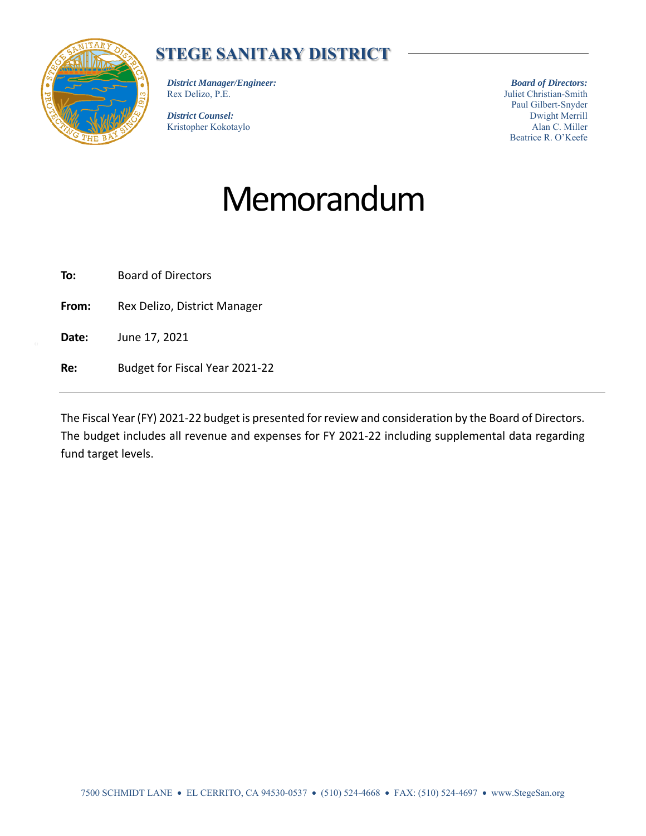

## **STEGE SANITARY DISTRICT**

*District Manager/Engineer:*  Rex Delizo, P.E.

*District Counsel:*  Kristopher Kokotaylo

*Board of Directors:*  Juliet Christian-Smith Paul Gilbert-Snyder Dwight Merrill Alan C. Miller Beatrice R. O'Keefe

# Memorandum

**To:** Board of Directors

**From:** Rex Delizo, District Manager

**Date:** June 17, 2021

**Re:** Budget for Fiscal Year 2021-22

The Fiscal Year (FY) 2021-22 budget is presented for review and consideration by the Board of Directors. The budget includes all revenue and expenses for FY 2021-22 including supplemental data regarding fund target levels.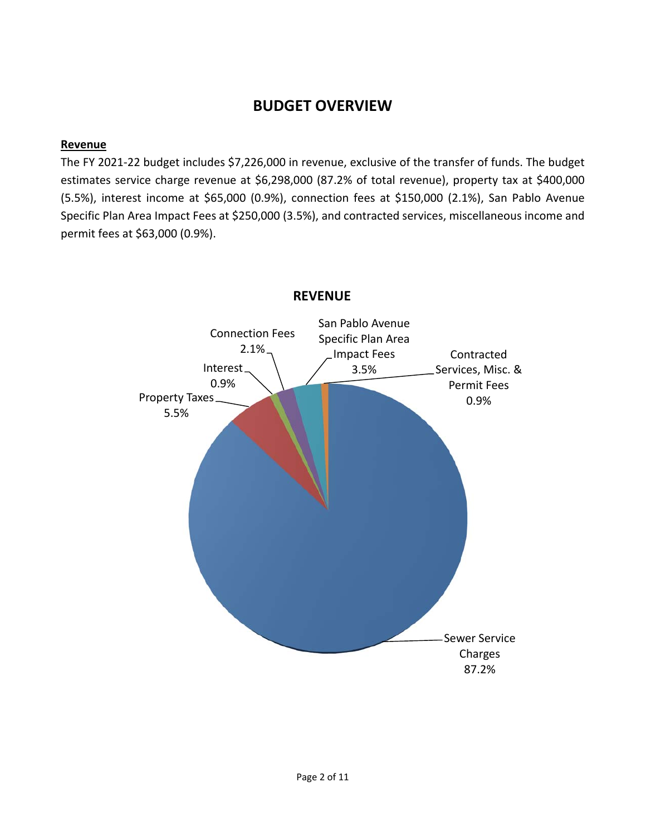### **BUDGET OVERVIEW**

#### **Revenue**

The FY 2021-22 budget includes \$7,226,000 in revenue, exclusive of the transfer of funds. The budget estimates service charge revenue at \$6,298,000 (87.2% of total revenue), property tax at \$400,000 (5.5%), interest income at \$65,000 (0.9%), connection fees at \$150,000 (2.1%), San Pablo Avenue Specific Plan Area Impact Fees at \$250,000 (3.5%), and contracted services, miscellaneous income and permit fees at \$63,000 (0.9%).



#### **REVENUE**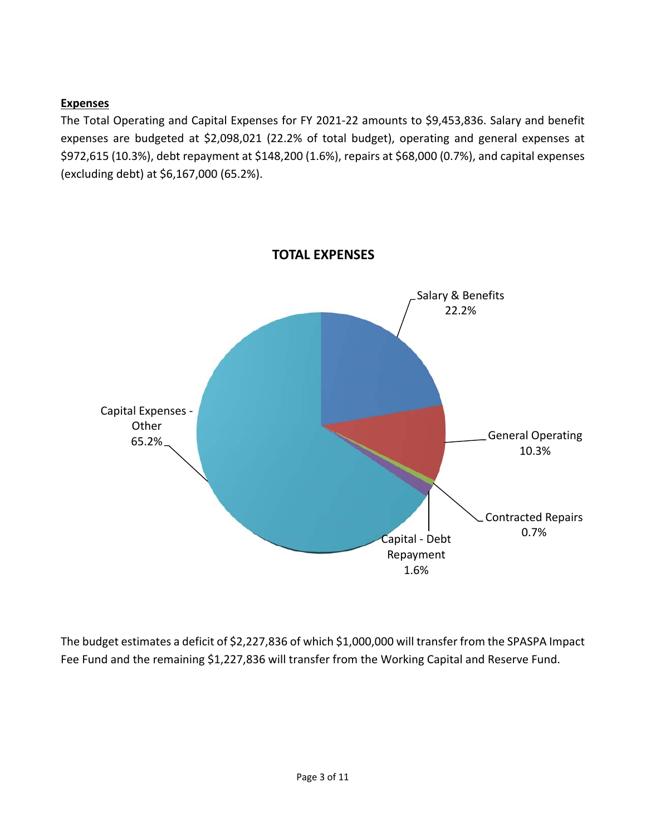#### **Expenses**

The Total Operating and Capital Expenses for FY 2021-22 amounts to \$9,453,836. Salary and benefit expenses are budgeted at \$2,098,021 (22.2% of total budget), operating and general expenses at \$972,615 (10.3%), debt repayment at \$148,200 (1.6%), repairs at \$68,000 (0.7%), and capital expenses (excluding debt) at \$6,167,000 (65.2%).



The budget estimates a deficit of \$2,227,836 of which \$1,000,000 will transfer from the SPASPA Impact Fee Fund and the remaining \$1,227,836 will transfer from the Working Capital and Reserve Fund.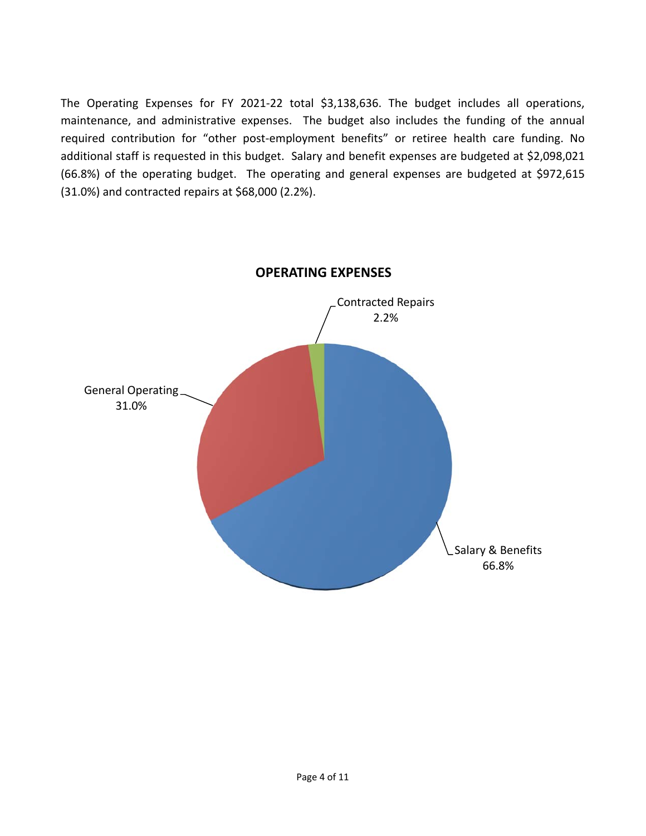The Operating Expenses for FY 2021-22 total \$3,138,636. The budget includes all operations, maintenance, and administrative expenses. The budget also includes the funding of the annual required contribution for "other post-employment benefits" or retiree health care funding. No additional staff is requested in this budget. Salary and benefit expenses are budgeted at \$2,098,021 (66.8%) of the operating budget. The operating and general expenses are budgeted at \$972,615 (31.0%) and contracted repairs at \$68,000 (2.2%).



**OPERATING EXPENSES**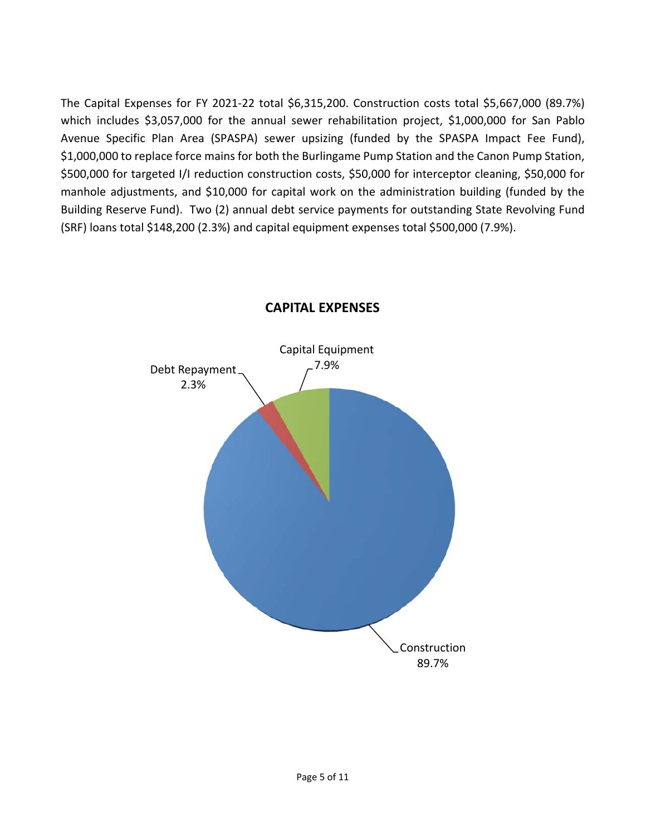The Capital Expenses for FY 2021-22 total \$6,315,200. Construction costs total \$5,667,000 (89.7%) which includes \$3,057,000 for the annual sewer rehabilitation project, \$1,000,000 for San Pablo Avenue Specific Plan Area (SPASPA) sewer upsizing (funded by the SPASPA Impact Fee Fund), \$1,000,000 to replace force mains for both the Burlingame Pump Station and the Canon Pump Station, \$500,000 for targeted I/I reduction construction costs, \$50,000 for interceptor cleaning, \$50,000 for manhole adjustments, and \$10,000 for capital work on the administration building (funded by the Building Reserve Fund). Two (2) annual debt service payments for outstanding State Revolving Fund (SRF) loans total \$148,200 (2.3%) and capital equipment expenses total \$500,000 (7.9%).



#### **CAPITAL EXPENSES**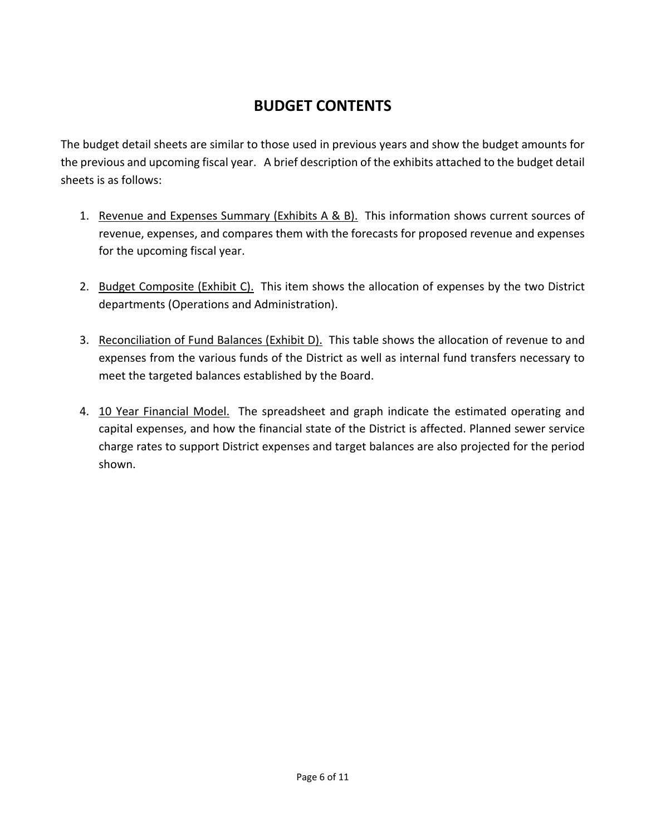### **BUDGET CONTENTS**

The budget detail sheets are similar to those used in previous years and show the budget amounts for the previous and upcoming fiscal year. A brief description of the exhibits attached to the budget detail sheets is as follows:

- 1. Revenue and Expenses Summary (Exhibits A & B). This information shows current sources of revenue, expenses, and compares them with the forecasts for proposed revenue and expenses for the upcoming fiscal year.
- 2. Budget Composite (Exhibit C). This item shows the allocation of expenses by the two District departments (Operations and Administration).
- 3. Reconciliation of Fund Balances (Exhibit D). This table shows the allocation of revenue to and expenses from the various funds of the District as well as internal fund transfers necessary to meet the targeted balances established by the Board.
- 4. 10 Year Financial Model. The spreadsheet and graph indicate the estimated operating and capital expenses, and how the financial state of the District is affected. Planned sewer service charge rates to support District expenses and target balances are also projected for the period shown.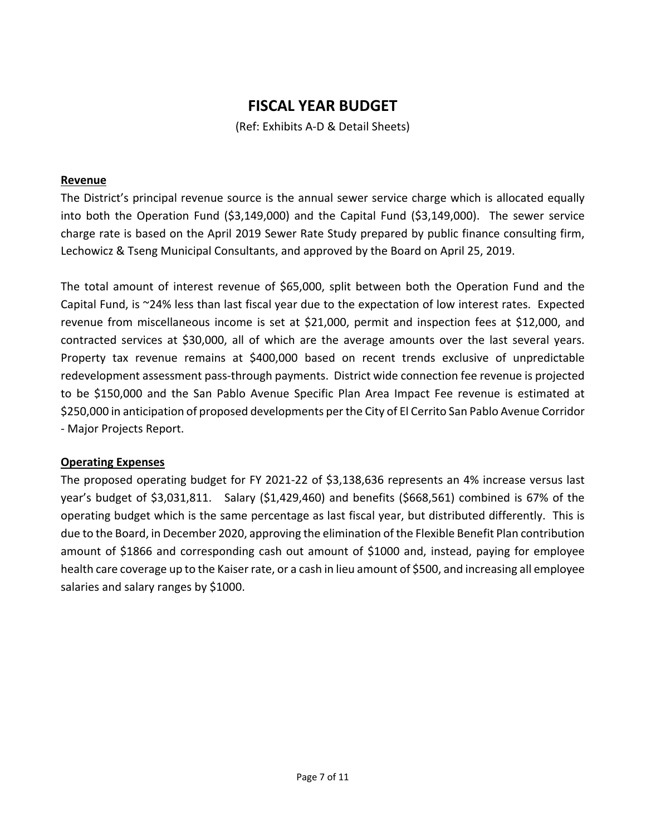### **FISCAL YEAR BUDGET**

(Ref: Exhibits A-D & Detail Sheets)

#### **Revenue**

The District's principal revenue source is the annual sewer service charge which is allocated equally into both the Operation Fund (\$3,149,000) and the Capital Fund (\$3,149,000). The sewer service charge rate is based on the April 2019 Sewer Rate Study prepared by public finance consulting firm, Lechowicz & Tseng Municipal Consultants, and approved by the Board on April 25, 2019.

The total amount of interest revenue of \$65,000, split between both the Operation Fund and the Capital Fund, is ~24% less than last fiscal year due to the expectation of low interest rates. Expected revenue from miscellaneous income is set at \$21,000, permit and inspection fees at \$12,000, and contracted services at \$30,000, all of which are the average amounts over the last several years. Property tax revenue remains at \$400,000 based on recent trends exclusive of unpredictable redevelopment assessment pass-through payments. District wide connection fee revenue is projected to be \$150,000 and the San Pablo Avenue Specific Plan Area Impact Fee revenue is estimated at \$250,000 in anticipation of proposed developments per the City of El Cerrito San Pablo Avenue Corridor - Major Projects Report.

#### **Operating Expenses**

The proposed operating budget for FY 2021-22 of \$3,138,636 represents an 4% increase versus last year's budget of \$3,031,811. Salary (\$1,429,460) and benefits (\$668,561) combined is 67% of the operating budget which is the same percentage as last fiscal year, but distributed differently. This is due to the Board, in December 2020, approving the elimination of the Flexible Benefit Plan contribution amount of \$1866 and corresponding cash out amount of \$1000 and, instead, paying for employee health care coverage up to the Kaiser rate, or a cash in lieu amount of \$500, and increasing all employee salaries and salary ranges by \$1000.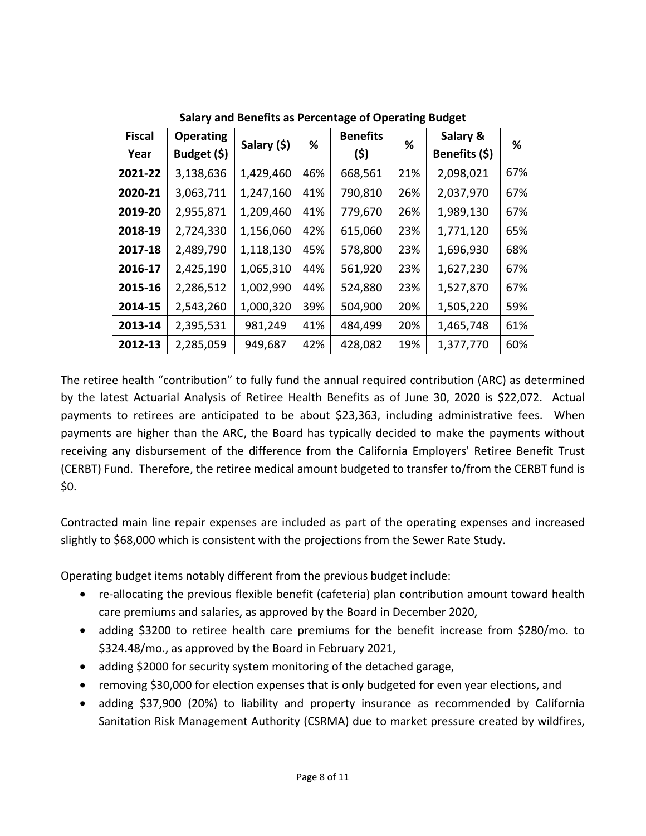| <b>Fiscal</b> | <b>Operating</b> | Salary (\$) | %   | <b>Benefits</b> | %   | Salary &      | ℅   |
|---------------|------------------|-------------|-----|-----------------|-----|---------------|-----|
| Year          | Budget (\$)      |             |     | (\$)            |     | Benefits (\$) |     |
| 2021-22       | 3,138,636        | 1,429,460   | 46% | 668,561         | 21% | 2,098,021     | 67% |
| 2020-21       | 3,063,711        | 1,247,160   | 41% | 790,810         | 26% | 2,037,970     | 67% |
| 2019-20       | 2,955,871        | 1,209,460   | 41% | 779,670         | 26% | 1,989,130     | 67% |
| 2018-19       | 2,724,330        | 1,156,060   | 42% | 615,060         | 23% | 1,771,120     | 65% |
| 2017-18       | 2,489,790        | 1,118,130   | 45% | 578,800         | 23% | 1,696,930     | 68% |
| 2016-17       | 2,425,190        | 1,065,310   | 44% | 561,920         | 23% | 1,627,230     | 67% |
| 2015-16       | 2,286,512        | 1,002,990   | 44% | 524,880         | 23% | 1,527,870     | 67% |
| 2014-15       | 2,543,260        | 1,000,320   | 39% | 504,900         | 20% | 1,505,220     | 59% |
| 2013-14       | 2,395,531        | 981,249     | 41% | 484,499         | 20% | 1,465,748     | 61% |
| 2012-13       | 2,285,059        | 949,687     | 42% | 428,082         | 19% | 1,377,770     | 60% |

**Salary and Benefits as Percentage of Operating Budget** 

The retiree health "contribution" to fully fund the annual required contribution (ARC) as determined by the latest Actuarial Analysis of Retiree Health Benefits as of June 30, 2020 is \$22,072. Actual payments to retirees are anticipated to be about \$23,363, including administrative fees. When payments are higher than the ARC, the Board has typically decided to make the payments without receiving any disbursement of the difference from the California Employers' Retiree Benefit Trust (CERBT) Fund. Therefore, the retiree medical amount budgeted to transfer to/from the CERBT fund is \$0.

Contracted main line repair expenses are included as part of the operating expenses and increased slightly to \$68,000 which is consistent with the projections from the Sewer Rate Study.

Operating budget items notably different from the previous budget include:

- re-allocating the previous flexible benefit (cafeteria) plan contribution amount toward health care premiums and salaries, as approved by the Board in December 2020,
- adding \$3200 to retiree health care premiums for the benefit increase from \$280/mo. to \$324.48/mo., as approved by the Board in February 2021,
- adding \$2000 for security system monitoring of the detached garage,
- removing \$30,000 for election expenses that is only budgeted for even year elections, and
- adding \$37,900 (20%) to liability and property insurance as recommended by California Sanitation Risk Management Authority (CSRMA) due to market pressure created by wildfires,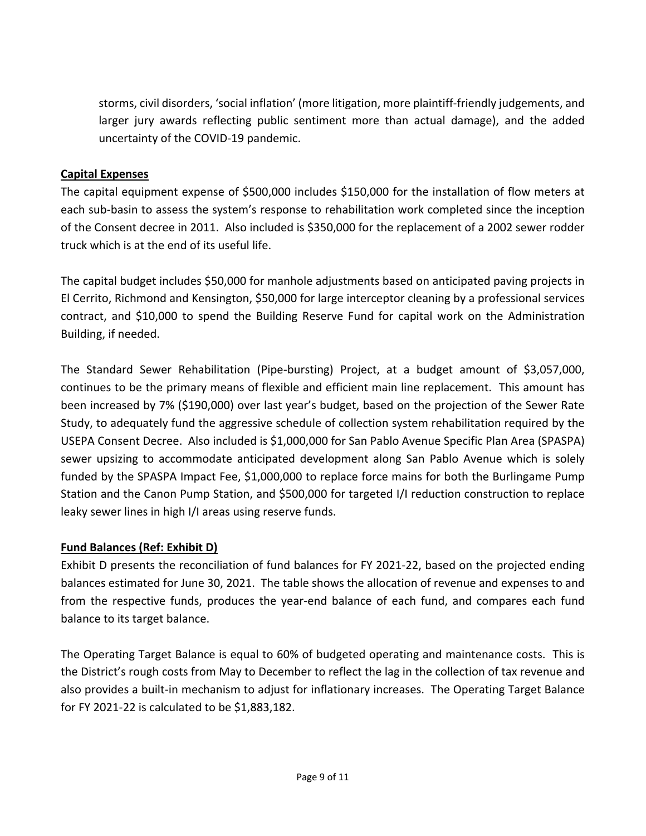storms, civil disorders, 'social inflation' (more litigation, more plaintiff-friendly judgements, and larger jury awards reflecting public sentiment more than actual damage), and the added uncertainty of the COVID-19 pandemic.

#### **Capital Expenses**

The capital equipment expense of \$500,000 includes \$150,000 for the installation of flow meters at each sub-basin to assess the system's response to rehabilitation work completed since the inception of the Consent decree in 2011. Also included is \$350,000 for the replacement of a 2002 sewer rodder truck which is at the end of its useful life.

The capital budget includes \$50,000 for manhole adjustments based on anticipated paving projects in El Cerrito, Richmond and Kensington, \$50,000 for large interceptor cleaning by a professional services contract, and \$10,000 to spend the Building Reserve Fund for capital work on the Administration Building, if needed.

The Standard Sewer Rehabilitation (Pipe-bursting) Project, at a budget amount of \$3,057,000, continues to be the primary means of flexible and efficient main line replacement. This amount has been increased by 7% (\$190,000) over last year's budget, based on the projection of the Sewer Rate Study, to adequately fund the aggressive schedule of collection system rehabilitation required by the USEPA Consent Decree. Also included is \$1,000,000 for San Pablo Avenue Specific Plan Area (SPASPA) sewer upsizing to accommodate anticipated development along San Pablo Avenue which is solely funded by the SPASPA Impact Fee, \$1,000,000 to replace force mains for both the Burlingame Pump Station and the Canon Pump Station, and \$500,000 for targeted I/I reduction construction to replace leaky sewer lines in high I/I areas using reserve funds.

#### **Fund Balances (Ref: Exhibit D)**

Exhibit D presents the reconciliation of fund balances for FY 2021-22, based on the projected ending balances estimated for June 30, 2021. The table shows the allocation of revenue and expenses to and from the respective funds, produces the year-end balance of each fund, and compares each fund balance to its target balance.

The Operating Target Balance is equal to 60% of budgeted operating and maintenance costs. This is the District's rough costs from May to December to reflect the lag in the collection of tax revenue and also provides a built-in mechanism to adjust for inflationary increases. The Operating Target Balance for FY 2021-22 is calculated to be \$1,883,182.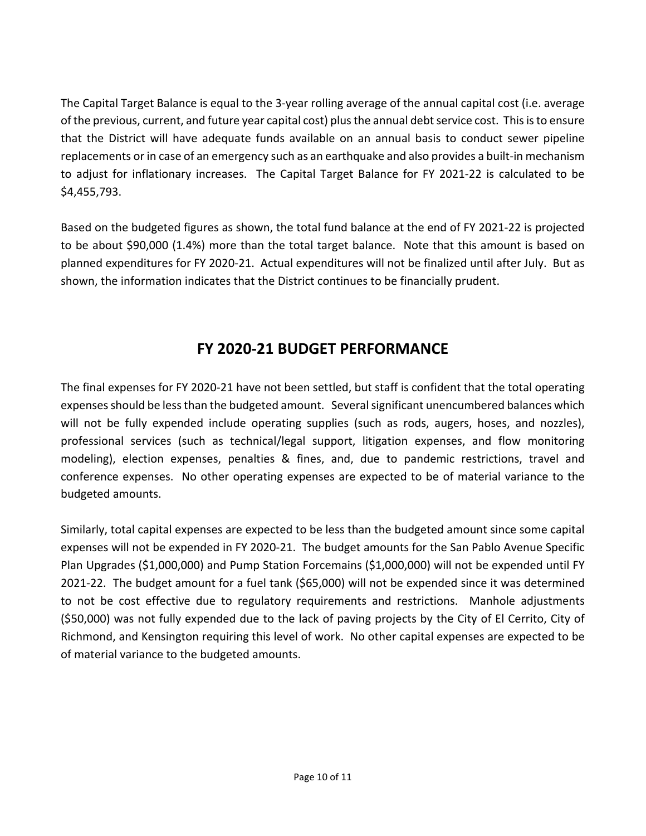The Capital Target Balance is equal to the 3-year rolling average of the annual capital cost (i.e. average of the previous, current, and future year capital cost) plus the annual debt service cost. This is to ensure that the District will have adequate funds available on an annual basis to conduct sewer pipeline replacements or in case of an emergency such as an earthquake and also provides a built-in mechanism to adjust for inflationary increases. The Capital Target Balance for FY 2021-22 is calculated to be \$4,455,793.

Based on the budgeted figures as shown, the total fund balance at the end of FY 2021-22 is projected to be about \$90,000 (1.4%) more than the total target balance. Note that this amount is based on planned expenditures for FY 2020-21. Actual expenditures will not be finalized until after July. But as shown, the information indicates that the District continues to be financially prudent.

### **FY 2020-21 BUDGET PERFORMANCE**

The final expenses for FY 2020-21 have not been settled, but staff is confident that the total operating expenses should be less than the budgeted amount. Several significant unencumbered balances which will not be fully expended include operating supplies (such as rods, augers, hoses, and nozzles), professional services (such as technical/legal support, litigation expenses, and flow monitoring modeling), election expenses, penalties & fines, and, due to pandemic restrictions, travel and conference expenses. No other operating expenses are expected to be of material variance to the budgeted amounts.

Similarly, total capital expenses are expected to be less than the budgeted amount since some capital expenses will not be expended in FY 2020-21. The budget amounts for the San Pablo Avenue Specific Plan Upgrades (\$1,000,000) and Pump Station Forcemains (\$1,000,000) will not be expended until FY 2021-22. The budget amount for a fuel tank (\$65,000) will not be expended since it was determined to not be cost effective due to regulatory requirements and restrictions. Manhole adjustments (\$50,000) was not fully expended due to the lack of paving projects by the City of El Cerrito, City of Richmond, and Kensington requiring this level of work. No other capital expenses are expected to be of material variance to the budgeted amounts.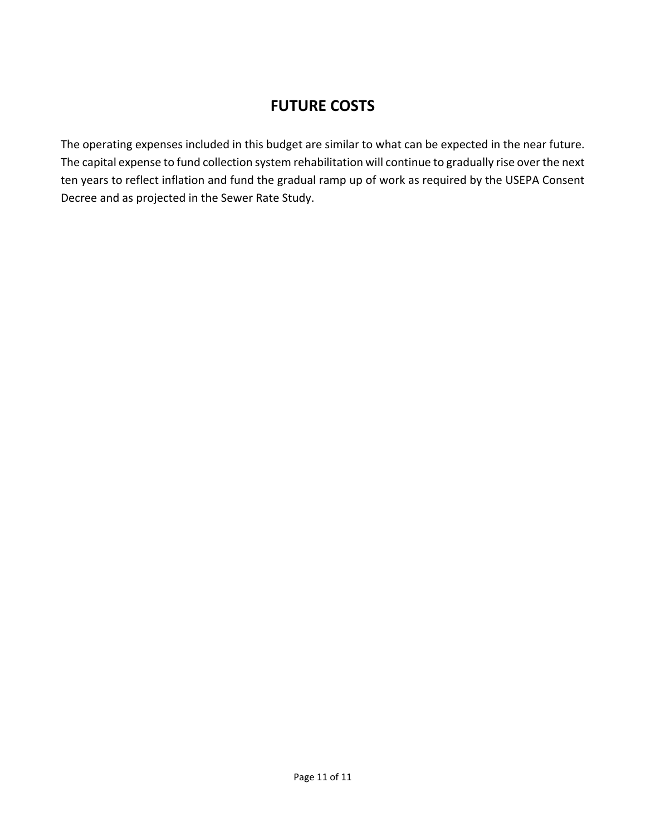### **FUTURE COSTS**

The operating expenses included in this budget are similar to what can be expected in the near future. The capital expense to fund collection system rehabilitation will continue to gradually rise over the next ten years to reflect inflation and fund the gradual ramp up of work as required by the USEPA Consent Decree and as projected in the Sewer Rate Study.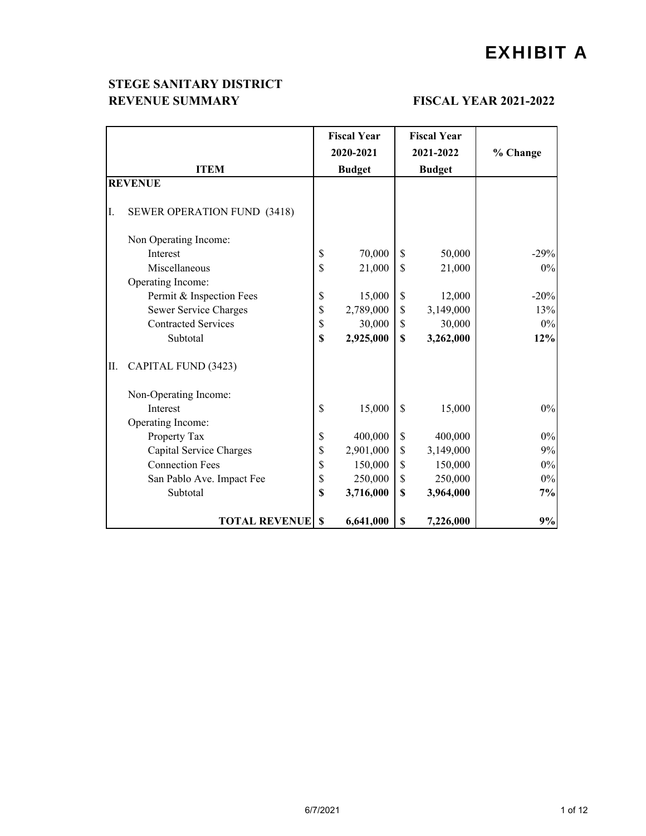## EXHIBIT A

#### **STEGE SANITARY DISTRICT REVENUE SUMMARY FISCAL YEAR 2021-2022**

|     |                                    | <b>Fiscal Year</b> |              | <b>Fiscal Year</b> |          |
|-----|------------------------------------|--------------------|--------------|--------------------|----------|
|     |                                    | 2020-2021          |              | 2021-2022          | % Change |
|     | <b>ITEM</b>                        | <b>Budget</b>      |              | <b>Budget</b>      |          |
|     | <b>REVENUE</b>                     |                    |              |                    |          |
| I.  | <b>SEWER OPERATION FUND (3418)</b> |                    |              |                    |          |
|     | Non Operating Income:              |                    |              |                    |          |
|     | Interest                           | \$<br>70,000       | \$           | 50,000             | $-29%$   |
|     | Miscellaneous                      | \$<br>21,000       | \$           | 21,000             | $0\%$    |
|     | Operating Income:                  |                    |              |                    |          |
|     | Permit & Inspection Fees           | \$<br>15,000       | \$           | 12,000             | $-20%$   |
|     | Sewer Service Charges              | \$<br>2,789,000    | $\mathbb{S}$ | 3,149,000          | 13%      |
|     | <b>Contracted Services</b>         | \$<br>30,000       | $\mathbb{S}$ | 30,000             | $0\%$    |
|     | Subtotal                           | \$<br>2,925,000    | \$           | 3,262,000          | 12%      |
| II. | CAPITAL FUND (3423)                |                    |              |                    |          |
|     | Non-Operating Income:              |                    |              |                    |          |
|     | Interest                           | \$<br>15,000       | $\mathbb{S}$ | 15,000             | 0%       |
|     | Operating Income:                  |                    |              |                    |          |
|     | Property Tax                       | \$<br>400,000      | \$           | 400,000            | 0%       |
|     | Capital Service Charges            | \$<br>2,901,000    | $\mathbb{S}$ | 3,149,000          | 9%       |
|     | <b>Connection Fees</b>             | \$<br>150,000      | \$           | 150,000            | $0\%$    |
|     | San Pablo Ave. Impact Fee          | \$<br>250,000      | \$           | 250,000            | $0\%$    |
|     | Subtotal                           | \$<br>3,716,000    | $\mathbf S$  | 3,964,000          | 7%       |
|     | <b>TOTAL REVENUE</b>               | \$<br>6,641,000    | \$           | 7,226,000          | 9%       |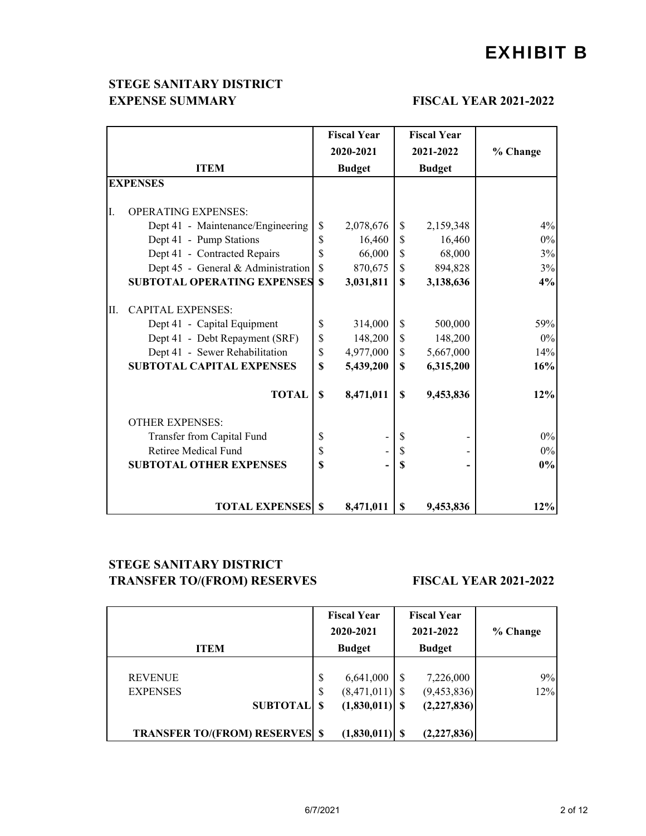## EXHIBIT B

#### **EXPENSE SUMMARY** FISCAL YEAR 2021-2022 **STEGE SANITARY DISTRICT**

|    |                                    | <b>Fiscal Year</b><br><b>Fiscal Year</b> |               |              |               |       |
|----|------------------------------------|------------------------------------------|---------------|--------------|---------------|-------|
|    |                                    |                                          | 2020-2021     | % Change     |               |       |
|    | <b>ITEM</b>                        |                                          | <b>Budget</b> |              | <b>Budget</b> |       |
|    | <b>EXPENSES</b>                    |                                          |               |              |               |       |
|    |                                    |                                          |               |              |               |       |
| I. | <b>OPERATING EXPENSES:</b>         |                                          |               |              |               |       |
|    | Dept 41 - Maintenance/Engineering  | \$                                       | 2,078,676     | \$           | 2,159,348     | 4%    |
|    | Dept 41 - Pump Stations            | \$                                       | 16,460        | $\mathbb{S}$ | 16,460        | $0\%$ |
|    | Dept 41 - Contracted Repairs       | \$                                       | 66,000        | \$           | 68,000        | 3%    |
|    | Dept 45 - General & Administration | $\mathbf S$                              | 870,675       | \$           | 894,828       | 3%    |
|    | <b>SUBTOTAL OPERATING EXPENSES</b> | <sup>\$</sup>                            | 3,031,811     | $\mathbf S$  | 3,138,636     | 4%    |
| П. | <b>CAPITAL EXPENSES:</b>           |                                          |               |              |               |       |
|    | Dept 41 - Capital Equipment        | \$                                       | 314,000       | \$           | 500,000       | 59%   |
|    | Dept 41 - Debt Repayment (SRF)     | \$                                       | 148,200       | \$           | 148,200       | $0\%$ |
|    | Dept 41 - Sewer Rehabilitation     | \$                                       | 4,977,000     | $\mathbb{S}$ | 5,667,000     | 14%   |
|    | <b>SUBTOTAL CAPITAL EXPENSES</b>   | \$                                       | 5,439,200     | $\mathbf S$  | 6,315,200     | 16%   |
|    | <b>TOTAL</b>                       | \$                                       | 8,471,011     | \$           | 9,453,836     | 12%   |
|    | <b>OTHER EXPENSES:</b>             |                                          |               |              |               |       |
|    | Transfer from Capital Fund         | \$                                       |               | S            |               | $0\%$ |
|    | Retiree Medical Fund               | \$                                       |               | \$           |               | $0\%$ |
|    | <b>SUBTOTAL OTHER EXPENSES</b>     | \$                                       |               | \$           |               | $0\%$ |
|    |                                    |                                          |               |              |               |       |
|    | <b>TOTAL EXPENSES</b>              | $\mathbf{s}$                             | 8,471,011     | \$           | 9,453,836     | 12%   |

#### **TRANSFER TO/(FROM) RESERVES** FISCAL YEAR 2021-2022 **STEGE SANITARY DISTRICT**

| <b>ITEM</b>                                          |          | <b>Fiscal Year</b><br>2020-2021<br><b>Budget</b>  | <b>Fiscal Year</b><br>2021-2022<br><b>Budget</b> | % Change  |  |  |
|------------------------------------------------------|----------|---------------------------------------------------|--------------------------------------------------|-----------|--|--|
| <b>REVENUE</b><br><b>EXPENSES</b><br><b>SUBTOTAL</b> | \$<br>\$ | 6,641,000<br>$(8,471,011)$ \$<br>$(1,830,011)$ \$ | 7,226,000<br>(9, 453, 836)<br>(2, 227, 836)      | 9%<br>12% |  |  |
| <b>TRANSFER TO/(FROM) RESERVES \$</b>                |          | $(1,830,011)$ \$                                  | (2, 227, 836)                                    |           |  |  |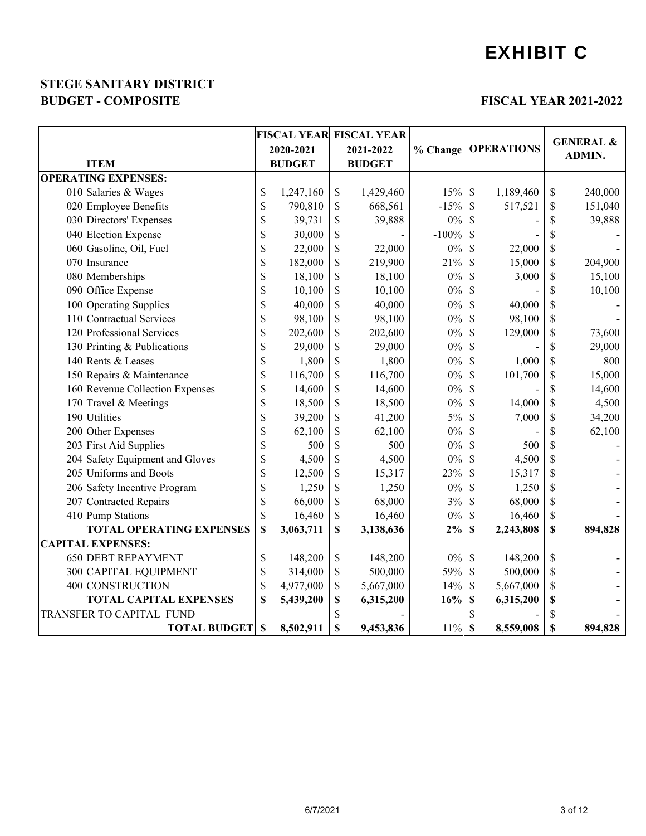## EXHIBIT C

#### **BUDGET - COMPOSITE FISCAL YEAR 2021-2022 STEGE SANITARY DISTRICT**

|                                 |             |               | <b>FISCAL YEAR FISCAL YEAR</b> |          |                           |           |                           |                                       |
|---------------------------------|-------------|---------------|--------------------------------|----------|---------------------------|-----------|---------------------------|---------------------------------------|
|                                 |             | 2020-2021     | 2021-2022                      | % Change | <b>OPERATIONS</b>         |           |                           | <b>GENERAL &amp;</b><br><b>ADMIN.</b> |
| <b>ITEM</b>                     |             | <b>BUDGET</b> | <b>BUDGET</b>                  |          |                           |           |                           |                                       |
| <b>OPERATING EXPENSES:</b>      |             |               |                                |          |                           |           |                           |                                       |
| 010 Salaries & Wages            | \$          | 1,247,160     | \$<br>1,429,460                | 15%      | $\mathcal{S}$             | 1,189,460 | \$                        | 240,000                               |
| 020 Employee Benefits           | \$          | 790,810       | \$<br>668,561                  | $-15%$   | $\mathcal{S}$             | 517,521   | $\boldsymbol{\mathsf{S}}$ | 151,040                               |
| 030 Directors' Expenses         | \$          | 39,731        | \$<br>39,888                   | 0%       | S                         |           | \$                        | 39,888                                |
| 040 Election Expense            | \$          | 30,000        | \$                             | $-100%$  | \$                        |           | \$                        |                                       |
| 060 Gasoline, Oil, Fuel         | \$          | 22,000        | \$<br>22,000                   | $0\%$    | \$                        | 22,000    | \$                        |                                       |
| 070 Insurance                   | \$          | 182,000       | \$<br>219,900                  | 21%      | \$                        | 15,000    | \$                        | 204,900                               |
| 080 Memberships                 | \$          | 18,100        | \$<br>18,100                   | $0\%$    | \$                        | 3,000     | \$                        | 15,100                                |
| 090 Office Expense              | \$          | 10,100        | \$<br>10,100                   | $0\%$    | \$                        |           | \$                        | 10,100                                |
| 100 Operating Supplies          | \$          | 40,000        | \$<br>40,000                   | $0\%$    | \$                        | 40,000    | \$                        |                                       |
| 110 Contractual Services        | \$          | 98,100        | \$<br>98,100                   | $0\%$    | <sup>\$</sup>             | 98,100    | \$                        |                                       |
| 120 Professional Services       | \$          | 202,600       | \$<br>202,600                  | $0\%$    | \$                        | 129,000   | \$                        | 73,600                                |
| 130 Printing & Publications     | \$          | 29,000        | \$<br>29,000                   | $0\%$    | \$                        |           | \$                        | 29,000                                |
| 140 Rents & Leases              | \$          | 1,800         | \$<br>1,800                    | $0\%$    | \$                        | 1,000     | \$                        | 800                                   |
| 150 Repairs & Maintenance       | \$          | 116,700       | \$<br>116,700                  | $0\%$    | \$                        | 101,700   | \$                        | 15,000                                |
| 160 Revenue Collection Expenses | \$          | 14,600        | \$<br>14,600                   | $0\%$    | \$                        |           | $\boldsymbol{\mathsf{S}}$ | 14,600                                |
| 170 Travel & Meetings           | \$          | 18,500        | \$<br>18,500                   | $0\%$    | \$                        | 14,000    | \$                        | 4,500                                 |
| 190 Utilities                   | \$          | 39,200        | \$<br>41,200                   | 5%       | \$                        | 7,000     | \$                        | 34,200                                |
| 200 Other Expenses              | \$          | 62,100        | \$<br>62,100                   | $0\%$    | S                         |           | \$                        | 62,100                                |
| 203 First Aid Supplies          | \$          | 500           | \$<br>500                      | $0\%$    | \$                        | 500       | \$                        |                                       |
| 204 Safety Equipment and Gloves | \$          | 4,500         | \$<br>4,500                    | $0\%$    | \$                        | 4,500     | \$                        |                                       |
| 205 Uniforms and Boots          | \$          | 12,500        | \$<br>15,317                   | 23%      | \$                        | 15,317    | \$                        |                                       |
| 206 Safety Incentive Program    | \$          | 1,250         | \$<br>1,250                    | $0\%$    | \$                        | 1,250     | \$                        |                                       |
| 207 Contracted Repairs          | \$          | 66,000        | \$<br>68,000                   | 3%       | \$                        | 68,000    | \$                        |                                       |
| 410 Pump Stations               | \$          | 16,460        | \$<br>16,460                   | $0\%$    | \$                        | 16,460    | \$                        |                                       |
| <b>TOTAL OPERATING EXPENSES</b> | \$          | 3,063,711     | \$<br>3,138,636                | 2%       | $\boldsymbol{\mathsf{S}}$ | 2,243,808 | \$                        | 894,828                               |
| <b>CAPITAL EXPENSES:</b>        |             |               |                                |          |                           |           |                           |                                       |
| <b>650 DEBT REPAYMENT</b>       | \$          | 148,200       | \$<br>148,200                  | $0\%$    | $\mathcal{S}$             | 148,200   | \$                        |                                       |
| 300 CAPITAL EQUIPMENT           | \$          | 314,000       | \$<br>500,000                  | 59%      | $\mathcal{S}$             | 500,000   | \$                        |                                       |
| <b>400 CONSTRUCTION</b>         | $\mathbb S$ | 4,977,000     | \$<br>5,667,000                | 14%      | $\mathcal{S}$             | 5,667,000 | \$                        |                                       |
| <b>TOTAL CAPITAL EXPENSES</b>   | \$          | 5,439,200     | \$<br>6,315,200                | 16%      | \$                        | 6,315,200 | \$                        |                                       |
| TRANSFER TO CAPITAL FUND        |             |               | \$                             |          |                           |           | $\boldsymbol{\mathsf{S}}$ |                                       |
| <b>TOTAL BUDGET</b>             | \$          | 8,502,911     | \$<br>9,453,836                | $11\%$   | $\boldsymbol{\mathsf{S}}$ | 8,559,008 | \$                        | 894,828                               |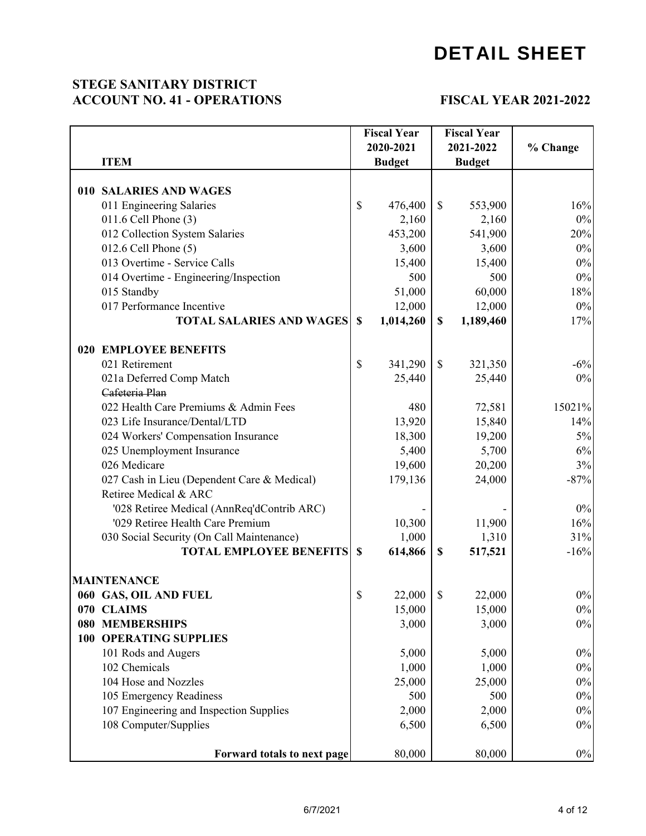#### **STEGE SANITARY DISTRICT ACCOUNT NO. 41 - OPERATIONS**

#### **FISCAL YEAR 2021-2022**

|  |                                             |               | <b>Fiscal Year</b> |              | <b>Fiscal Year</b> |          |  |
|--|---------------------------------------------|---------------|--------------------|--------------|--------------------|----------|--|
|  |                                             |               | 2020-2021          |              | 2021-2022          | % Change |  |
|  | <b>ITEM</b>                                 |               | <b>Budget</b>      |              | <b>Budget</b>      |          |  |
|  |                                             |               |                    |              |                    |          |  |
|  | 010 SALARIES AND WAGES                      |               |                    |              |                    |          |  |
|  | 011 Engineering Salaries                    | $\mathbb{S}$  | 476,400            | $\mathbb{S}$ | 553,900            | 16%      |  |
|  | 011.6 Cell Phone (3)                        |               | 2,160              |              | 2,160              | 0%       |  |
|  | 012 Collection System Salaries              |               | 453,200            |              | 541,900            | 20%      |  |
|  | $012.6$ Cell Phone $(5)$                    |               | 3,600              |              | 3,600              | 0%       |  |
|  | 013 Overtime - Service Calls                |               | 15,400             |              | 15,400             | 0%       |  |
|  | 014 Overtime - Engineering/Inspection       |               | 500                |              | 500                | 0%       |  |
|  | 015 Standby                                 |               | 51,000             |              | 60,000             | 18%      |  |
|  | 017 Performance Incentive                   |               | 12,000             |              | 12,000             | 0%       |  |
|  | <b>TOTAL SALARIES AND WAGES</b>             | $\mathbf S$   | 1,014,260          | \$           | 1,189,460          | 17%      |  |
|  | <b>020 EMPLOYEE BENEFITS</b>                |               |                    |              |                    |          |  |
|  | 021 Retirement                              | $\$$          | 341,290            | \$           | 321,350            | $-6%$    |  |
|  | 021a Deferred Comp Match                    |               | 25,440             |              | 25,440             | 0%       |  |
|  | Cafeteria Plan                              |               |                    |              |                    |          |  |
|  | 022 Health Care Premiums & Admin Fees       |               | 480                |              | 72,581             | 15021%   |  |
|  | 023 Life Insurance/Dental/LTD               |               | 13,920             |              | 15,840             | 14%      |  |
|  | 024 Workers' Compensation Insurance         |               | 18,300             |              | 19,200             | 5%       |  |
|  | 025 Unemployment Insurance                  |               | 5,400              |              | 5,700              | $6\%$    |  |
|  | 026 Medicare                                |               | 19,600             |              | 20,200             | 3%       |  |
|  | 027 Cash in Lieu (Dependent Care & Medical) |               | 179,136            |              | 24,000             | $-87%$   |  |
|  | Retiree Medical & ARC                       |               |                    |              |                    |          |  |
|  | '028 Retiree Medical (AnnReq'dContrib ARC)  |               |                    |              |                    | 0%       |  |
|  | '029 Retiree Health Care Premium            |               | 10,300             |              | 11,900             | 16%      |  |
|  | 030 Social Security (On Call Maintenance)   |               | 1,000              |              | 1,310              | 31%      |  |
|  | <b>TOTAL EMPLOYEE BENEFITS</b>              | <sup>\$</sup> | 614,866            | \$           | 517,521            | $-16%$   |  |
|  | <b>MAINTENANCE</b>                          |               |                    |              |                    |          |  |
|  | 060 GAS, OIL AND FUEL                       | \$            | 22,000             | \$           | 22,000             | $0\%$    |  |
|  | 070 CLAIMS                                  |               | 15,000             |              | 15,000             | $0\%$    |  |
|  | <b>080 MEMBERSHIPS</b>                      |               | 3,000              |              | 3,000              | 0%       |  |
|  | <b>100 OPERATING SUPPLIES</b>               |               |                    |              |                    |          |  |
|  | 101 Rods and Augers                         |               | 5,000              |              | 5,000              | 0%       |  |
|  | 102 Chemicals                               |               | 1,000              |              | 1,000              | 0%       |  |
|  | 104 Hose and Nozzles                        |               | 25,000             |              | 25,000             | 0%       |  |
|  | 105 Emergency Readiness                     |               | 500                |              | 500                | 0%       |  |
|  | 107 Engineering and Inspection Supplies     |               | 2,000              |              | 2,000              | $0\%$    |  |
|  | 108 Computer/Supplies                       |               | 6,500              |              | 6,500              | 0%       |  |
|  |                                             |               |                    |              |                    |          |  |
|  | Forward totals to next page                 |               | 80,000             |              | 80,000             | $0\%$    |  |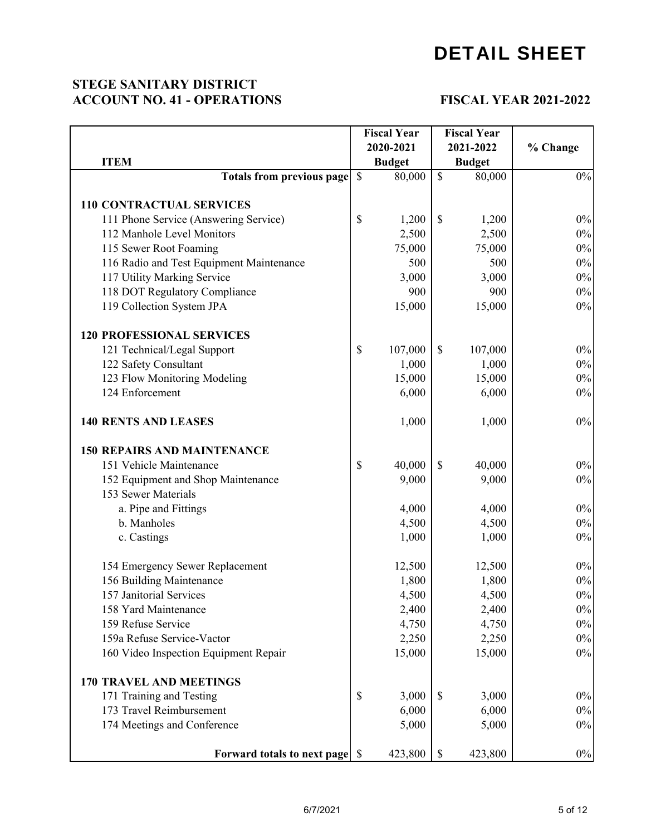#### **STEGE SANITARY DISTRICT ACCOUNT NO. 41 - OPERATIONS**

#### **FISCAL YEAR 2021-2022**

|                                          |               | <b>Fiscal Year</b> |               | <b>Fiscal Year</b> |          |  |
|------------------------------------------|---------------|--------------------|---------------|--------------------|----------|--|
|                                          |               | 2020-2021          |               | 2021-2022          | % Change |  |
| <b>ITEM</b>                              |               | <b>Budget</b>      |               | <b>Budget</b>      |          |  |
| <b>Totals from previous page</b>         | $\mathcal{S}$ | 80,000             | $\mathbb{S}$  | 80,000             | $0\%$    |  |
|                                          |               |                    |               |                    |          |  |
| <b>110 CONTRACTUAL SERVICES</b>          |               |                    |               |                    |          |  |
| 111 Phone Service (Answering Service)    | $\mathcal{S}$ | 1,200              | $\mathbb{S}$  | 1,200              | $0\%$    |  |
| 112 Manhole Level Monitors               |               | 2,500              |               | 2,500              | $0\%$    |  |
| 115 Sewer Root Foaming                   |               | 75,000             |               | 75,000             | $0\%$    |  |
| 116 Radio and Test Equipment Maintenance |               | 500                |               | 500                | $0\%$    |  |
| 117 Utility Marking Service              |               | 3,000              |               | 3,000              | $0\%$    |  |
| 118 DOT Regulatory Compliance            |               | 900                |               | 900                | $0\%$    |  |
| 119 Collection System JPA                |               | 15,000             |               | 15,000             | $0\%$    |  |
| <b>120 PROFESSIONAL SERVICES</b>         |               |                    |               |                    |          |  |
| 121 Technical/Legal Support              | \$            | 107,000            | $\mathbb{S}$  | 107,000            | $0\%$    |  |
| 122 Safety Consultant                    |               | 1,000              |               | 1,000              | 0%       |  |
| 123 Flow Monitoring Modeling             |               | 15,000             |               | 15,000             | $0\%$    |  |
| 124 Enforcement                          |               | 6,000              |               | 6,000              | $0\%$    |  |
| <b>140 RENTS AND LEASES</b>              |               | 1,000              |               | 1,000              | $0\%$    |  |
| <b>150 REPAIRS AND MAINTENANCE</b>       |               |                    |               |                    |          |  |
| 151 Vehicle Maintenance                  | \$            | 40,000             | $\mathcal{S}$ | 40,000             | $0\%$    |  |
| 152 Equipment and Shop Maintenance       |               | 9,000              |               | 9,000              | $0\%$    |  |
| 153 Sewer Materials                      |               |                    |               |                    |          |  |
| a. Pipe and Fittings                     |               | 4,000              |               | 4,000              | $0\%$    |  |
| b. Manholes                              |               | 4,500              |               | 4,500              | $0\%$    |  |
| c. Castings                              |               | 1,000              |               | 1,000              | $0\%$    |  |
| 154 Emergency Sewer Replacement          |               | 12,500             |               | 12,500             | $0\%$    |  |
| 156 Building Maintenance                 |               | 1,800              |               | 1,800              | $0\%$    |  |
| 157 Janitorial Services                  |               | 4,500              |               | 4,500              | $0\%$    |  |
| 158 Yard Maintenance                     |               | 2,400              |               | 2,400              | $0\%$    |  |
| 159 Refuse Service                       |               | 4,750              |               | 4,750              | 0%       |  |
| 159a Refuse Service-Vactor               |               | 2,250              |               | 2,250              | $0\%$    |  |
| 160 Video Inspection Equipment Repair    |               | 15,000             |               | 15,000             | $0\%$    |  |
| <b>170 TRAVEL AND MEETINGS</b>           |               |                    |               |                    |          |  |
| 171 Training and Testing                 | \$            | 3,000              | $\mathcal{S}$ | 3,000              | $0\%$    |  |
| 173 Travel Reimbursement                 |               | 6,000              |               | 6,000              | $0\%$    |  |
| 174 Meetings and Conference              |               | 5,000              |               | 5,000              | $0\%$    |  |
|                                          |               | 423,800            | $\mathbb{S}$  | 423,800            | $0\%$    |  |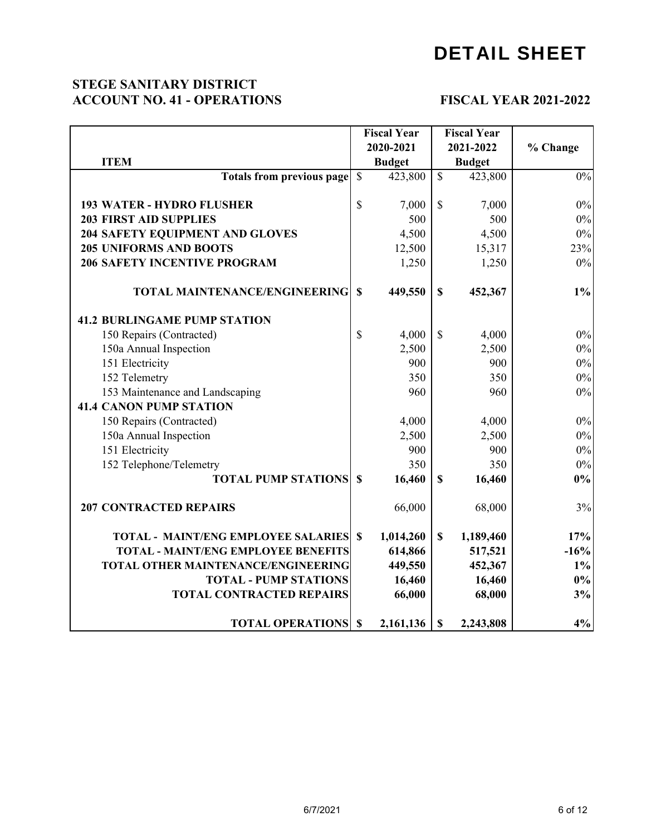#### **STEGE SANITARY DISTRICT ACCOUNT NO. 41 - OPERATIONS**

#### **FISCAL YEAR 2021-2022**

|                                               | <b>Fiscal Year</b>       |               | <b>Fiscal Year</b>       |               |          |
|-----------------------------------------------|--------------------------|---------------|--------------------------|---------------|----------|
|                                               |                          | 2020-2021     |                          | 2021-2022     | % Change |
| <b>ITEM</b>                                   |                          | <b>Budget</b> |                          | <b>Budget</b> |          |
| <b>Totals from previous page</b>              | $\overline{\mathcal{S}}$ | 423,800       | $\overline{\mathcal{S}}$ | 423,800       | $0\%$    |
|                                               |                          |               |                          |               |          |
| <b>193 WATER - HYDRO FLUSHER</b>              | $\mathcal{S}$            | 7,000         | $\mathbb{S}$             | 7,000         | $0\%$    |
| <b>203 FIRST AID SUPPLIES</b>                 |                          | 500           |                          | 500           | $0\%$    |
| 204 SAFETY EQUIPMENT AND GLOVES               |                          | 4,500         |                          | 4,500         | $0\%$    |
| <b>205 UNIFORMS AND BOOTS</b>                 |                          | 12,500        |                          | 15,317        | 23%      |
| <b>206 SAFETY INCENTIVE PROGRAM</b>           |                          | 1,250         |                          | 1,250         | $0\%$    |
| <b>TOTAL MAINTENANCE/ENGINEERING</b>          | $\mathbf S$              | 449,550       | $\mathbf S$              | 452,367       | $1\%$    |
| <b>41.2 BURLINGAME PUMP STATION</b>           |                          |               |                          |               |          |
| 150 Repairs (Contracted)                      | $\mathcal{S}$            | 4,000         | $\mathbb{S}$             | 4,000         | $0\%$    |
| 150a Annual Inspection                        |                          | 2,500         |                          | 2,500         | $0\%$    |
| 151 Electricity                               |                          | 900           |                          | 900           | $0\%$    |
| 152 Telemetry                                 |                          | 350           |                          | 350           | $0\%$    |
| 153 Maintenance and Landscaping               |                          | 960           |                          | 960           | $0\%$    |
| <b>41.4 CANON PUMP STATION</b>                |                          |               |                          |               |          |
| 150 Repairs (Contracted)                      |                          | 4,000         |                          | 4,000         | $0\%$    |
| 150a Annual Inspection                        |                          | 2,500         |                          | 2,500         | $0\%$    |
| 151 Electricity                               |                          | 900           |                          | 900           | $0\%$    |
| 152 Telephone/Telemetry                       |                          | 350           |                          | 350           | $0\%$    |
| <b>TOTAL PUMP STATIONS</b>                    | $\mathbf S$              | 16,460        | $\mathbf S$              | 16,460        | $0\%$    |
| <b>207 CONTRACTED REPAIRS</b>                 |                          | 66,000        |                          | 68,000        | 3%       |
| <b>TOTAL - MAINT/ENG EMPLOYEE SALARIES \$</b> |                          | 1,014,260     | $\mathbf{s}$             | 1,189,460     | 17%      |
| <b>TOTAL - MAINT/ENG EMPLOYEE BENEFITS</b>    |                          | 614,866       |                          | 517,521       | $-16%$   |
| TOTAL OTHER MAINTENANCE/ENGINEERING           |                          | 449,550       |                          | 452,367       | $1\%$    |
| <b>TOTAL - PUMP STATIONS</b>                  |                          | 16,460        |                          | 16,460        | $0\%$    |
| <b>TOTAL CONTRACTED REPAIRS</b>               |                          | 66,000        |                          | 68,000        | 3%       |
| <b>TOTAL OPERATIONS \$</b>                    |                          | 2,161,136     | $\mathbf{\$}$            | 2,243,808     | 4%       |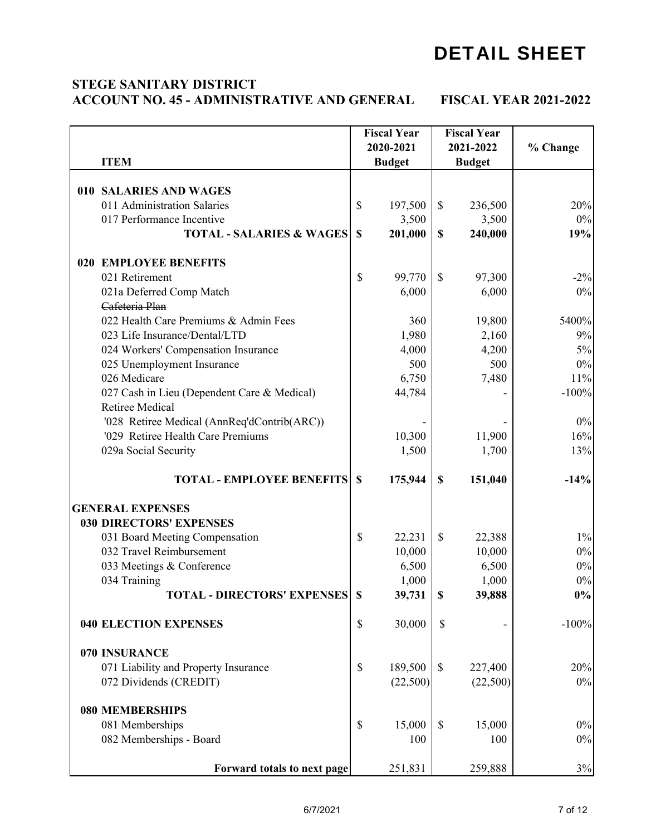#### **STEGE SANITARY DISTRICT ACCOUNT NO. 45 - ADMINISTRATIVE AND GENERAL FISCAL YEAR 2021-2022**

|                                             |             | <b>Fiscal Year</b> |                           | <b>Fiscal Year</b> |          |
|---------------------------------------------|-------------|--------------------|---------------------------|--------------------|----------|
|                                             |             | 2020-2021          |                           | 2021-2022          | % Change |
| <b>ITEM</b>                                 |             | <b>Budget</b>      |                           | <b>Budget</b>      |          |
|                                             |             |                    |                           |                    |          |
| 010 SALARIES AND WAGES                      |             |                    |                           |                    |          |
| 011 Administration Salaries                 | \$          | 197,500            | $\mathcal{S}$             | 236,500            | 20%      |
| 017 Performance Incentive                   |             | 3,500              |                           | 3,500              | $0\%$    |
| <b>TOTAL - SALARIES &amp; WAGES</b>         | $\mathbf S$ | 201,000            | $\mathbf S$               | 240,000            | 19%      |
| <b>020 EMPLOYEE BENEFITS</b>                |             |                    |                           |                    |          |
| 021 Retirement                              | \$          | 99,770             | $\mathcal{S}$             | 97,300             | $-2\%$   |
|                                             |             | 6,000              |                           | 6,000              | $0\%$    |
| 021a Deferred Comp Match<br>Cafeteria Plan  |             |                    |                           |                    |          |
|                                             |             |                    |                           |                    |          |
| 022 Health Care Premiums & Admin Fees       |             | 360                |                           | 19,800             | 5400%    |
| 023 Life Insurance/Dental/LTD               |             | 1,980              |                           | 2,160              | 9%       |
| 024 Workers' Compensation Insurance         |             | 4,000              |                           | 4,200              | 5%       |
| 025 Unemployment Insurance                  |             | 500                |                           | 500                | $0\%$    |
| 026 Medicare                                |             | 6,750              |                           | 7,480              | 11%      |
| 027 Cash in Lieu (Dependent Care & Medical) |             | 44,784             |                           |                    | $-100%$  |
| <b>Retiree Medical</b>                      |             |                    |                           |                    |          |
| '028 Retiree Medical (AnnReq'dContrib(ARC)) |             |                    |                           |                    | $0\%$    |
| '029 Retiree Health Care Premiums           |             | 10,300             |                           | 11,900             | 16%      |
| 029a Social Security                        |             | 1,500              |                           | 1,700              | 13%      |
|                                             |             |                    |                           |                    |          |
| <b>TOTAL - EMPLOYEE BENEFITS</b>            | $\mathbf S$ | 175,944            | $\boldsymbol{\mathsf{S}}$ | 151,040            | $-14%$   |
|                                             |             |                    |                           |                    |          |
| <b>GENERAL EXPENSES</b>                     |             |                    |                           |                    |          |
| <b>030 DIRECTORS' EXPENSES</b>              |             |                    |                           |                    |          |
| 031 Board Meeting Compensation              | \$          | 22,231             | $\mathbb{S}$              | 22,388             | $1\%$    |
| 032 Travel Reimbursement                    |             | 10,000             |                           | 10,000             | $0\%$    |
| 033 Meetings & Conference                   |             | 6,500              |                           | 6,500              | $0\%$    |
| 034 Training                                |             | 1,000              |                           | 1,000              | $0\%$    |
| <b>TOTAL - DIRECTORS' EXPENSES   \$</b>     |             | 39,731             | $\boldsymbol{\mathsf{s}}$ | 39,888             | $0\%$    |
| <b>040 ELECTION EXPENSES</b>                | \$          | 30,000             | \$                        |                    | $-100%$  |
| 070 INSURANCE                               |             |                    |                           |                    |          |
| 071 Liability and Property Insurance        | \$          | 189,500            | $\mathbb{S}$              | 227,400            | 20%      |
|                                             |             |                    |                           |                    |          |
| 072 Dividends (CREDIT)                      |             | (22,500)           |                           | (22,500)           | $0\%$    |
| <b>080 MEMBERSHIPS</b>                      |             |                    |                           |                    |          |
| 081 Memberships                             | \$          | 15,000             | $\mathbb{S}$              | 15,000             | $0\%$    |
| 082 Memberships - Board                     |             | 100                |                           | 100                | $0\%$    |
|                                             |             |                    |                           |                    |          |
| Forward totals to next page                 |             | 251,831            |                           | 259,888            | 3%       |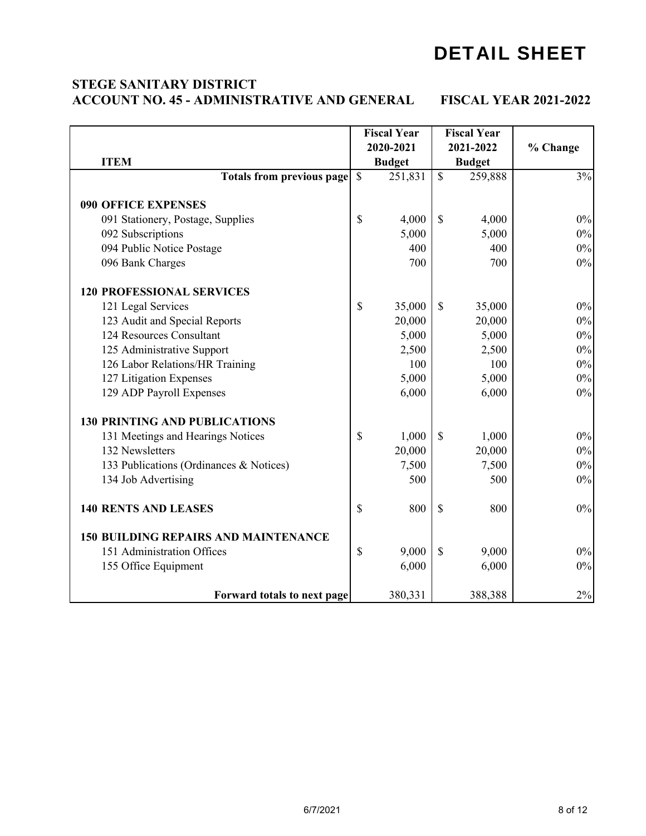## DETAIL SHEET

#### **STEGE SANITARY DISTRICT ACCOUNT NO. 45 - ADMINISTRATIVE AND GENERAL FISCAL YEAR 2021-2022**

|                                             |               | <b>Fiscal Year</b> |              | <b>Fiscal Year</b> |          |
|---------------------------------------------|---------------|--------------------|--------------|--------------------|----------|
|                                             |               | 2020-2021          |              | 2021-2022          | % Change |
| <b>ITEM</b>                                 |               | <b>Budget</b>      |              | <b>Budget</b>      |          |
| <b>Totals from previous page</b>            | $\mathcal{S}$ | 251,831            | $\mathbb{S}$ | 259,888            | 3%       |
| <b>090 OFFICE EXPENSES</b>                  |               |                    |              |                    |          |
| 091 Stationery, Postage, Supplies           | \$            | 4,000              | \$           | 4,000              | $0\%$    |
| 092 Subscriptions                           |               | 5,000              |              | 5,000              | $0\%$    |
| 094 Public Notice Postage                   |               | 400                |              | 400                | $0\%$    |
| 096 Bank Charges                            |               | 700                |              | 700                | $0\%$    |
| <b>120 PROFESSIONAL SERVICES</b>            |               |                    |              |                    |          |
| 121 Legal Services                          | \$            | 35,000             | $\mathbb{S}$ | 35,000             | $0\%$    |
| 123 Audit and Special Reports               |               | 20,000             |              | 20,000             | $0\%$    |
| 124 Resources Consultant                    |               | 5,000              |              | 5,000              | $0\%$    |
| 125 Administrative Support                  |               | 2,500              |              | 2,500              | $0\%$    |
| 126 Labor Relations/HR Training             |               | 100                |              | 100                | $0\%$    |
| 127 Litigation Expenses                     |               | 5,000              |              | 5,000              | $0\%$    |
| 129 ADP Payroll Expenses                    |               | 6,000              |              | 6,000              | $0\%$    |
| <b>130 PRINTING AND PUBLICATIONS</b>        |               |                    |              |                    |          |
| 131 Meetings and Hearings Notices           | \$            | 1,000              | \$           | 1,000              | $0\%$    |
| 132 Newsletters                             |               | 20,000             |              | 20,000             | $0\%$    |
| 133 Publications (Ordinances & Notices)     |               | 7,500              |              | 7,500              | $0\%$    |
| 134 Job Advertising                         |               | 500                |              | 500                | $0\%$    |
| <b>140 RENTS AND LEASES</b>                 | $\mathbb S$   | 800                | \$           | 800                | $0\%$    |
| <b>150 BUILDING REPAIRS AND MAINTENANCE</b> |               |                    |              |                    |          |
| 151 Administration Offices                  | \$            | 9,000              | \$           | 9,000              | $0\%$    |
| 155 Office Equipment                        |               | 6,000              |              | 6,000              | $0\%$    |
| Forward totals to next page                 |               | 380,331            |              | 388,388            | $2\%$    |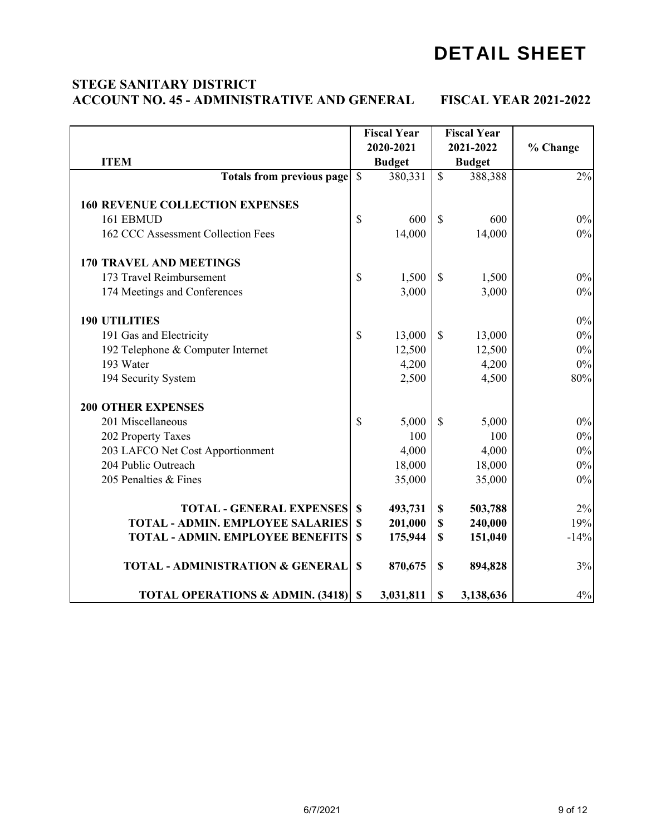## DETAIL SHEET

#### **STEGE SANITARY DISTRICT ACCOUNT NO. 45 - ADMINISTRATIVE AND GENERAL FISCAL YEAR 2021-2022**

|                                             |               | <b>Fiscal Year</b> |                           | <b>Fiscal Year</b> |          |
|---------------------------------------------|---------------|--------------------|---------------------------|--------------------|----------|
|                                             |               | 2020-2021          |                           | 2021-2022          | % Change |
| <b>ITEM</b>                                 |               | <b>Budget</b>      |                           | <b>Budget</b>      |          |
| <b>Totals from previous page</b>            | $\mathcal{S}$ | 380,331            | $\mathbb{S}$              | 388,388            | 2%       |
|                                             |               |                    |                           |                    |          |
| <b>160 REVENUE COLLECTION EXPENSES</b>      |               |                    |                           |                    |          |
| 161 EBMUD                                   | \$            | 600                | $\mathcal{S}$             | 600                | $0\%$    |
| 162 CCC Assessment Collection Fees          |               | 14,000             |                           | 14,000             | $0\%$    |
| <b>170 TRAVEL AND MEETINGS</b>              |               |                    |                           |                    |          |
| 173 Travel Reimbursement                    | \$            | 1,500              | $\mathcal{S}$             | 1,500              | $0\%$    |
| 174 Meetings and Conferences                |               | 3,000              |                           | 3,000              | $0\%$    |
| <b>190 UTILITIES</b>                        |               |                    |                           |                    | $0\%$    |
| 191 Gas and Electricity                     | \$            | 13,000             | $\mathbb{S}$              | 13,000             | $0\%$    |
| 192 Telephone & Computer Internet           |               | 12,500             |                           | 12,500             | $0\%$    |
| 193 Water                                   |               | 4,200              |                           | 4,200              | $0\%$    |
| 194 Security System                         |               | 2,500              |                           | 4,500              | 80%      |
| <b>200 OTHER EXPENSES</b>                   |               |                    |                           |                    |          |
| 201 Miscellaneous                           | $\mathbb{S}$  | 5,000              | $\mathbb{S}$              | 5,000              | $0\%$    |
| 202 Property Taxes                          |               | 100                |                           | 100                | $0\%$    |
| 203 LAFCO Net Cost Apportionment            |               | 4,000              |                           | 4,000              | $0\%$    |
| 204 Public Outreach                         |               | 18,000             |                           | 18,000             | $0\%$    |
| 205 Penalties & Fines                       |               | 35,000             |                           | 35,000             | $0\%$    |
| <b>TOTAL - GENERAL EXPENSES</b>             | \$            | 493,731            | $\mathbb S$               | 503,788            | 2%       |
| <b>TOTAL - ADMIN. EMPLOYEE SALARIES</b>     | \$            | 201,000            | $\mathbb S$               | 240,000            | 19%      |
| <b>TOTAL - ADMIN. EMPLOYEE BENEFITS</b>     | \$            | 175,944            | $\mathbf{s}$              | 151,040            | $-14%$   |
|                                             |               |                    |                           |                    |          |
| <b>TOTAL - ADMINISTRATION &amp; GENERAL</b> | \$            | 870,675            | $\boldsymbol{\mathsf{S}}$ | 894,828            | 3%       |
| <b>TOTAL OPERATIONS &amp; ADMIN. (3418)</b> | <b>S</b>      | 3,031,811          | \$                        | 3,138,636          | 4%       |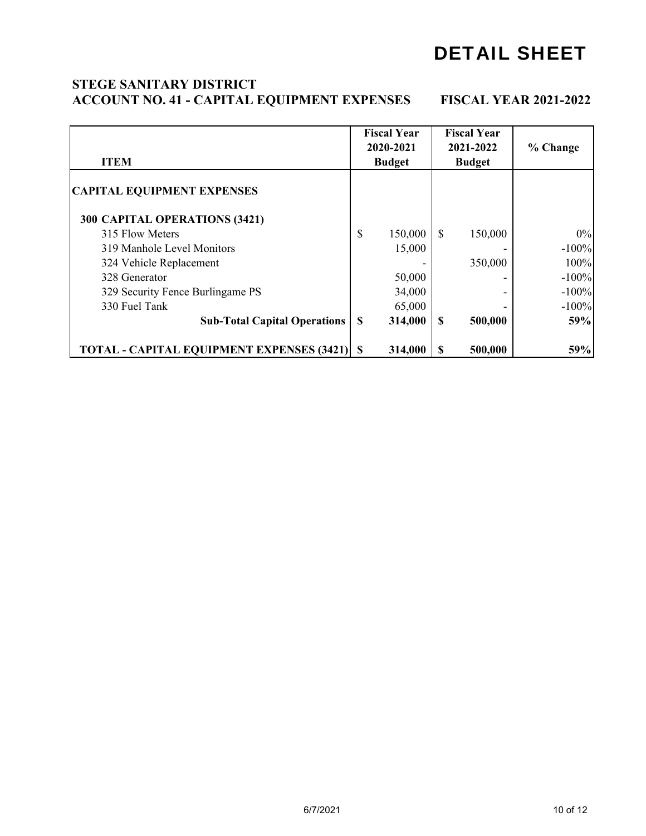## DETAIL SHEET

#### **ACCOUNT NO. 41 - CAPITAL EQUIPMENT EXPENSES FISCAL YEAR 2021-2022 STEGE SANITARY DISTRICT**

| <b>ITEM</b>                                      | <b>Fiscal Year</b><br>2020-2021<br><b>Budget</b> |         | <b>Fiscal Year</b><br>2021-2022<br><b>Budget</b> |         | % Change |
|--------------------------------------------------|--------------------------------------------------|---------|--------------------------------------------------|---------|----------|
| <b>CAPITAL EQUIPMENT EXPENSES</b>                |                                                  |         |                                                  |         |          |
| 300 CAPITAL OPERATIONS (3421)                    |                                                  |         |                                                  |         |          |
| 315 Flow Meters                                  | \$                                               | 150,000 | \$                                               | 150,000 | 0%       |
| 319 Manhole Level Monitors                       |                                                  | 15,000  |                                                  |         | $-100%$  |
| 324 Vehicle Replacement                          |                                                  |         |                                                  | 350,000 | 100%     |
| 328 Generator                                    |                                                  | 50,000  |                                                  |         | $-100%$  |
| 329 Security Fence Burlingame PS                 |                                                  | 34,000  |                                                  |         | $-100%$  |
| 330 Fuel Tank                                    |                                                  | 65,000  |                                                  |         | $-100%$  |
| <b>Sub-Total Capital Operations</b>              | <sup>\$</sup>                                    | 314,000 | S                                                | 500,000 | 59%      |
| <b>TOTAL - CAPITAL EQUIPMENT EXPENSES (3421)</b> | -S                                               | 314,000 |                                                  | 500,000 | 59%      |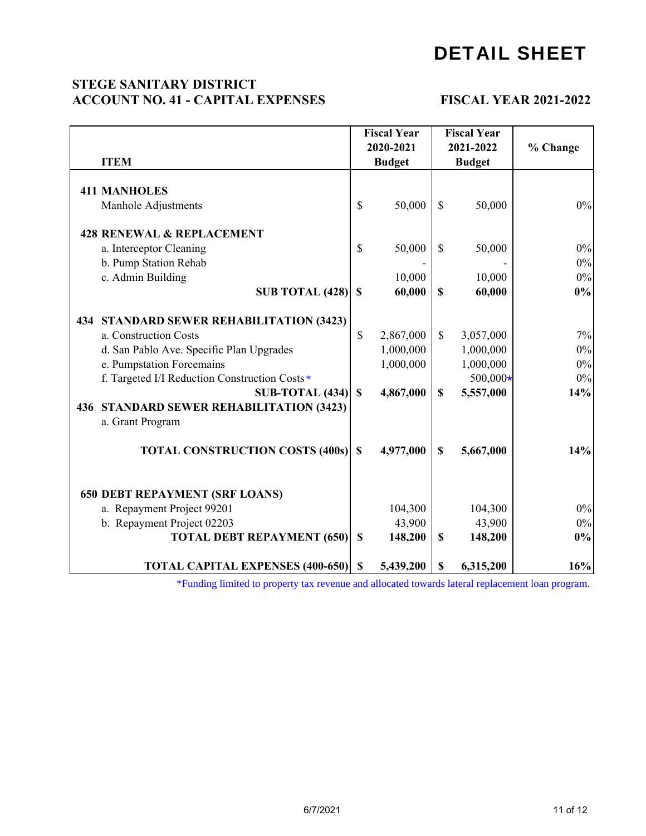#### **ACCOUNT NO. 41 - CAPITAL EXPENSES FISCAL YEAR 2021-2022 STEGE SANITARY DISTRICT**

|                                                                                                  |              | <b>Fiscal Year</b> |              | <b>Fiscal Year</b> |          |
|--------------------------------------------------------------------------------------------------|--------------|--------------------|--------------|--------------------|----------|
|                                                                                                  |              | 2020-2021          |              | 2021-2022          | % Change |
| <b>ITEM</b>                                                                                      |              | <b>Budget</b>      |              | <b>Budget</b>      |          |
|                                                                                                  |              |                    |              |                    |          |
| <b>411 MANHOLES</b>                                                                              |              |                    |              |                    |          |
| Manhole Adjustments                                                                              | \$           | 50,000             | $\mathbf S$  | 50,000             | $0\%$    |
| <b>428 RENEWAL &amp; REPLACEMENT</b>                                                             |              |                    |              |                    |          |
| a. Interceptor Cleaning                                                                          | \$           | 50,000             | $\mathbb{S}$ | 50,000             | $0\%$    |
| b. Pump Station Rehab                                                                            |              |                    |              |                    | 0%       |
| c. Admin Building                                                                                |              | 10,000             |              | 10,000             | $0\%$    |
| SUB TOTAL $(428)$ \$                                                                             |              | 60,000             | $\mathbf S$  | 60,000             | 0%       |
| 434 STANDARD SEWER REHABILITATION (3423)                                                         |              |                    |              |                    |          |
| a. Construction Costs                                                                            | \$           | 2,867,000          | $\mathbb{S}$ | 3,057,000          | 7%       |
| d. San Pablo Ave. Specific Plan Upgrades                                                         |              | 1,000,000          |              | 1,000,000          | $0\%$    |
| e. Pumpstation Forcemains                                                                        |              | 1,000,000          |              | 1,000,000          | $0\%$    |
| f. Targeted I/I Reduction Construction Costs*                                                    |              |                    |              | 500,000*           | 0%       |
| $SUB-TOTAL(434)$                                                                                 | $\mathbb{S}$ | 4,867,000          | \$           | 5,557,000          | 14%      |
| 436 STANDARD SEWER REHABILITATION (3423)                                                         |              |                    |              |                    |          |
| a. Grant Program                                                                                 |              |                    |              |                    |          |
|                                                                                                  |              |                    |              |                    |          |
| <b>TOTAL CONSTRUCTION COSTS (400s) \$</b>                                                        |              | 4,977,000          | $\mathbf S$  | 5,667,000          | 14%      |
|                                                                                                  |              |                    |              |                    |          |
| <b>650 DEBT REPAYMENT (SRF LOANS)</b>                                                            |              |                    |              |                    |          |
| a. Repayment Project 99201                                                                       |              | 104,300            |              | 104,300            | $0\%$    |
| b. Repayment Project 02203                                                                       |              | 43,900             |              | 43,900             | $0\%$    |
| <b>TOTAL DEBT REPAYMENT (650)</b>                                                                | $\mathbf S$  | 148,200            | \$           | 148,200            | $0\%$    |
| <b>TOTAL CAPITAL EXPENSES (400-650) \$</b>                                                       |              | 5,439,200          | S            | 6,315,200          | 16%      |
| *Funding limited to property tax revenue and allocated towards lateral replacement loan program. |              |                    |              |                    |          |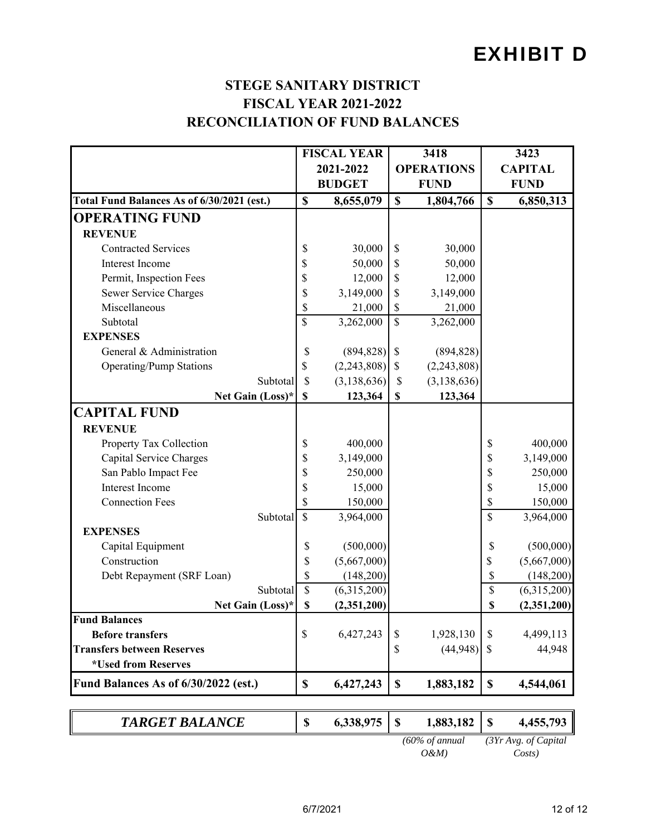## EXHIBIT D

#### **STEGE SANITARY DISTRICT FISCAL YEAR 2021-2022 RECONCILIATION OF FUND BALANCES**

|                                            | <b>FISCAL YEAR</b>        |               |                           | 3418                       | 3423                      |                      |  |
|--------------------------------------------|---------------------------|---------------|---------------------------|----------------------------|---------------------------|----------------------|--|
|                                            |                           | 2021-2022     |                           | <b>OPERATIONS</b>          |                           | <b>CAPITAL</b>       |  |
|                                            |                           | <b>BUDGET</b> |                           | <b>FUND</b>                | <b>FUND</b>               |                      |  |
| Total Fund Balances As of 6/30/2021 (est.) | $\mathbf S$               | 8,655,079     | $\mathbf S$               | 1,804,766                  | $\boldsymbol{\mathsf{S}}$ | 6,850,313            |  |
| <b>OPERATING FUND</b>                      |                           |               |                           |                            |                           |                      |  |
| <b>REVENUE</b>                             |                           |               |                           |                            |                           |                      |  |
| <b>Contracted Services</b>                 | \$                        | 30,000        | \$                        | 30,000                     |                           |                      |  |
| Interest Income                            | \$                        | 50,000        | \$                        | 50,000                     |                           |                      |  |
| Permit, Inspection Fees                    | \$                        | 12,000        | \$                        | 12,000                     |                           |                      |  |
| Sewer Service Charges                      | \$                        | 3,149,000     | \$                        | 3,149,000                  |                           |                      |  |
| Miscellaneous                              | \$                        | 21,000        | \$                        | 21,000                     |                           |                      |  |
| Subtotal                                   | \$                        | 3,262,000     | \$                        | 3,262,000                  |                           |                      |  |
| <b>EXPENSES</b>                            |                           |               |                           |                            |                           |                      |  |
| General & Administration                   | \$                        | (894, 828)    | $\boldsymbol{\mathsf{S}}$ | (894, 828)                 |                           |                      |  |
| <b>Operating/Pump Stations</b>             | \$                        | (2,243,808)   | \$                        | (2,243,808)                |                           |                      |  |
| Subtotal                                   | \$                        | (3, 138, 636) | \$                        | (3, 138, 636)              |                           |                      |  |
| Net Gain (Loss)*                           | $\boldsymbol{\mathsf{S}}$ | 123,364       | \$                        | 123,364                    |                           |                      |  |
| <b>CAPITAL FUND</b>                        |                           |               |                           |                            |                           |                      |  |
| <b>REVENUE</b>                             |                           |               |                           |                            |                           |                      |  |
| Property Tax Collection                    | \$                        | 400,000       |                           |                            | \$                        | 400,000              |  |
| Capital Service Charges                    | \$                        | 3,149,000     |                           |                            | \$                        | 3,149,000            |  |
| San Pablo Impact Fee                       | \$                        | 250,000       |                           |                            | \$                        | 250,000              |  |
| Interest Income                            | \$                        | 15,000        |                           |                            | \$                        | 15,000               |  |
| <b>Connection Fees</b>                     | \$                        | 150,000       |                           |                            | \$                        | 150,000              |  |
| Subtotal                                   | \$                        | 3,964,000     |                           |                            | \$                        | 3,964,000            |  |
| <b>EXPENSES</b>                            |                           |               |                           |                            |                           |                      |  |
| Capital Equipment                          | \$                        | (500,000)     |                           |                            | \$                        | (500,000)            |  |
| Construction                               | \$                        | (5,667,000)   |                           |                            | \$                        | (5,667,000)          |  |
| Debt Repayment (SRF Loan)                  | \$                        | (148,200)     |                           |                            | \$                        | (148,200)            |  |
| Subtotal                                   | \$                        | (6,315,200)   |                           |                            | \$                        | (6,315,200)          |  |
| Net Gain (Loss)*                           | \$                        | (2,351,200)   |                           |                            | \$                        | (2,351,200)          |  |
| <b>Fund Balances</b>                       |                           |               |                           |                            |                           |                      |  |
| <b>Before transfers</b>                    | \$                        | 6,427,243     | \$                        | 1,928,130                  | \$                        | 4,499,113            |  |
| <b>Transfers between Reserves</b>          |                           |               | \$                        | (44,948)                   | \$                        | 44,948               |  |
| *Used from Reserves                        |                           |               |                           |                            |                           |                      |  |
| Fund Balances As of 6/30/2022 (est.)       | \$                        | 6,427,243     | \$                        | 1,883,182                  | \$                        | 4,544,061            |  |
| <b>TARGET BALANCE</b>                      | \$                        | 6,338,975     | \$                        | 1,883,182                  | \$                        | 4,455,793            |  |
|                                            |                           |               |                           | $(60\% \text{ of annual})$ |                           | (3Yr Avg. of Capital |  |

*O&M) Costs)*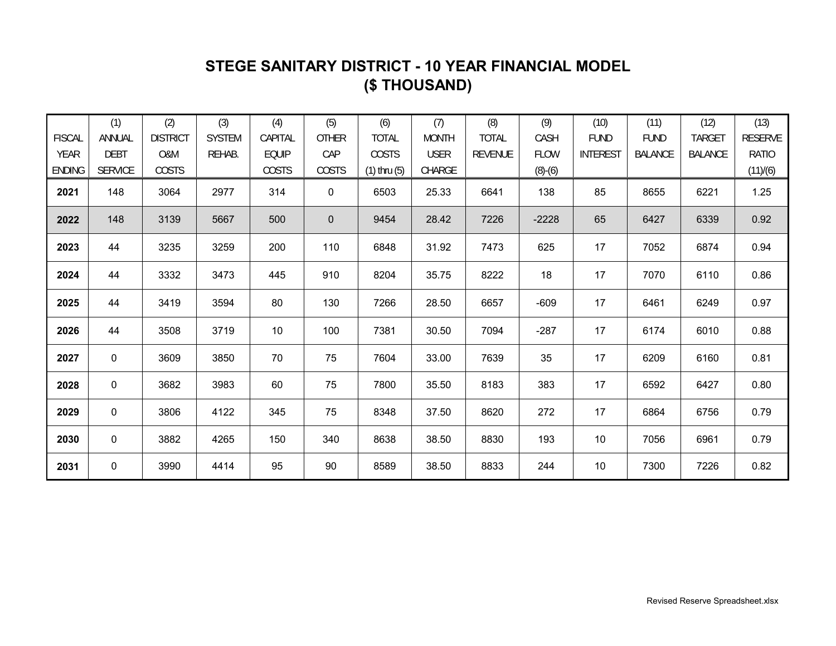### **STEGE SANITARY DISTRICT - 10 YEAR FINANCIAL MODEL (\$ THOUSAND)**

|               | (1)            | (2)             | (3)           | (4)          | (5)          | (6)              | (7)          | (8)            | (9)         | (10)            | (11)           | (12)           | (13)           |
|---------------|----------------|-----------------|---------------|--------------|--------------|------------------|--------------|----------------|-------------|-----------------|----------------|----------------|----------------|
| <b>FISCAL</b> | ANNUAL         | <b>DISTRICT</b> | <b>SYSTEM</b> | CAPITAL      | <b>OTHER</b> | <b>TOTAL</b>     | <b>MONTH</b> | <b>TOTAL</b>   | CASH        | <b>FUND</b>     | <b>FUND</b>    | <b>TARGET</b>  | <b>RESERVE</b> |
| YEAR          | <b>DEBT</b>    | O&M             | REHAB.        | <b>EQUIP</b> | CAP          | COSTS            | <b>USER</b>  | <b>REVENUE</b> | <b>FLOW</b> | <b>INTEREST</b> | <b>BALANCE</b> | <b>BALANCE</b> | <b>RATIO</b>   |
| <b>ENDING</b> | <b>SERVICE</b> | COSTS           |               | COSTS        | COSTS        | $(1)$ thru $(5)$ | CHARGE       |                | $(8)-(6)$   |                 |                |                | (11)/(6)       |
| 2021          | 148            | 3064            | 2977          | 314          | $\mathbf 0$  | 6503             | 25.33        | 6641           | 138         | 85              | 8655           | 6221           | 1.25           |
| 2022          | 148            | 3139            | 5667          | 500          | $\mathbf{0}$ | 9454             | 28.42        | 7226           | $-2228$     | 65              | 6427           | 6339           | 0.92           |
| 2023          | 44             | 3235            | 3259          | 200          | 110          | 6848             | 31.92        | 7473           | 625         | 17              | 7052           | 6874           | 0.94           |
| 2024          | 44             | 3332            | 3473          | 445          | 910          | 8204             | 35.75        | 8222           | 18          | 17              | 7070           | 6110           | 0.86           |
| 2025          | 44             | 3419            | 3594          | 80           | 130          | 7266             | 28.50        | 6657           | $-609$      | 17              | 6461           | 6249           | 0.97           |
| 2026          | 44             | 3508            | 3719          | 10           | 100          | 7381             | 30.50        | 7094           | $-287$      | 17              | 6174           | 6010           | 0.88           |
| 2027          | 0              | 3609            | 3850          | 70           | 75           | 7604             | 33.00        | 7639           | 35          | 17              | 6209           | 6160           | 0.81           |
| 2028          | 0              | 3682            | 3983          | 60           | 75           | 7800             | 35.50        | 8183           | 383         | 17              | 6592           | 6427           | 0.80           |
| 2029          | 0              | 3806            | 4122          | 345          | 75           | 8348             | 37.50        | 8620           | 272         | 17              | 6864           | 6756           | 0.79           |
| 2030          | 0              | 3882            | 4265          | 150          | 340          | 8638             | 38.50        | 8830           | 193         | 10              | 7056           | 6961           | 0.79           |
| 2031          | 0              | 3990            | 4414          | 95           | 90           | 8589             | 38.50        | 8833           | 244         | $10$            | 7300           | 7226           | 0.82           |